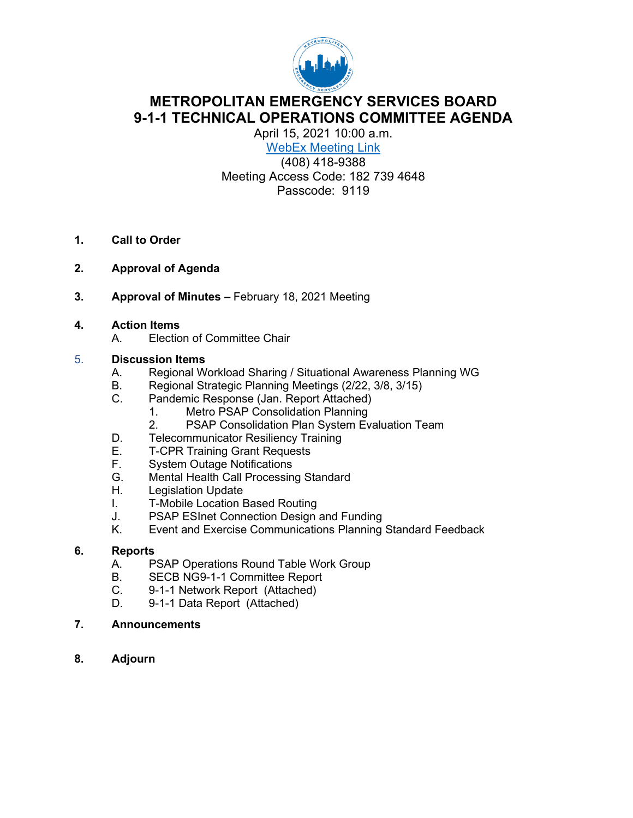

## **METROPOLITAN EMERGENCY SERVICES BOARD 9-1-1 TECHNICAL OPERATIONS COMMITTEE AGENDA**

April 15, 2021 10:00 a.m. WebEx [Meeting Link](https://url.emailprotection.link/?bov0eOreXJzjHkHL1ITKxQEh5_JWu4DU02Amkdyy5ivXlOAGelZi61FQzNeGhVPSrCOVmB9LlYyN4fCq0oH668iGSTPvCzZyejG8bRY0kWq8Ol3O74I4QLbJ_ojs75NABnuiYqWdwsw3wC8Bdh6DjXNa9HceCt4YEvNjJmNIcpHFbx7HXFr6NkUD3Wd_B_75_d2NdcJmz8CSs5zeroj8QDg%7E%7E)

(408) 418-9388 Meeting Access Code: 182 739 4648 Passcode: 9119

- **1. Call to Order**
- **2. Approval of Agenda**
- **3. Approval of Minutes –** February 18, 2021 Meeting
- **4. Action Items**
	- A. Election of Committee Chair

#### 5. **Discussion Items**

- A. Regional Workload Sharing / Situational Awareness Planning WG
- B. Regional Strategic Planning Meetings (2/22, 3/8, 3/15)<br>C. Pandemic Response (Jan. Report Attached)
- Pandemic Response (Jan. Report Attached)
	- 1. Metro PSAP Consolidation Planning
	- 2. PSAP Consolidation Plan System Evaluation Team
- D. Telecommunicator Resiliency Training<br>E. T-CPR Training Grant Requests
- E. T-CPR Training Grant Requests<br>F. System Outage Notifications
- F. System Outage Notifications<br>G. Mental Health Call Processine
- G. Mental Health Call Processing Standard<br>H. Legislation Update
- Legislation Update
- I. T-Mobile Location Based Routing
- J. PSAP ESInet Connection Design and Funding<br>K. Event and Exercise Communications Planning
- Event and Exercise Communications Planning Standard Feedback

# **6. Reports**

- PSAP Operations Round Table Work Group
- B. SECB NG9-1-1 Committee Report
- C. 9-1-1 Network Report (Attached)
- D. 9-1-1 Data Report (Attached)
- **7. Announcements**
- **8. Adjourn**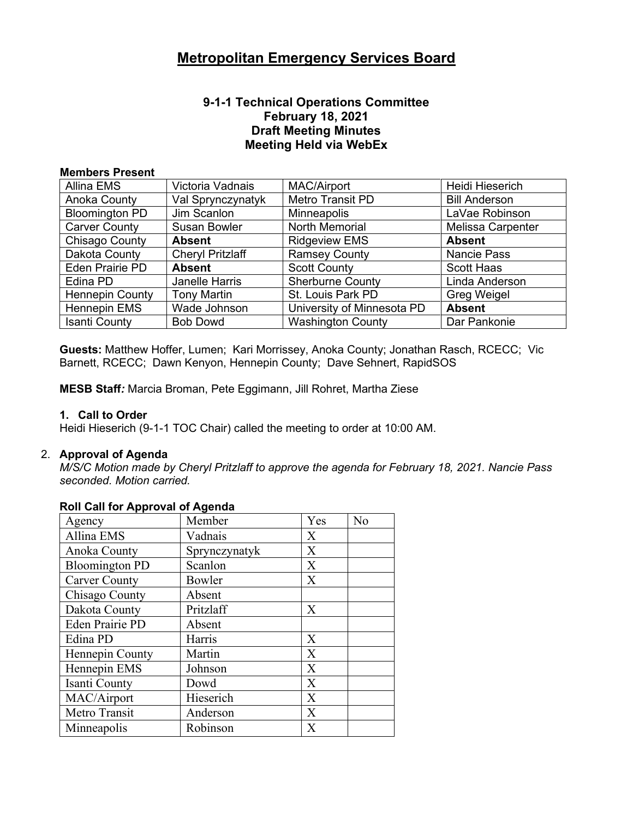#### **9-1-1 Technical Operations Committee February 18, 2021 Draft Meeting Minutes Meeting Held via WebEx**

#### **Members Present**

| <b>Allina EMS</b>      | Victoria Vadnais        | <b>MAC/Airport</b>         | Heidi Hieserich          |
|------------------------|-------------------------|----------------------------|--------------------------|
| Anoka County           | Val Sprynczynatyk       | Metro Transit PD           | <b>Bill Anderson</b>     |
| <b>Bloomington PD</b>  | Jim Scanlon             | Minneapolis                | LaVae Robinson           |
| <b>Carver County</b>   | <b>Susan Bowler</b>     | <b>North Memorial</b>      | <b>Melissa Carpenter</b> |
| Chisago County         | <b>Absent</b>           | <b>Ridgeview EMS</b>       | <b>Absent</b>            |
| Dakota County          | <b>Cheryl Pritzlaff</b> | <b>Ramsey County</b>       | <b>Nancie Pass</b>       |
| Eden Prairie PD        | <b>Absent</b>           | <b>Scott County</b>        | <b>Scott Haas</b>        |
| Edina PD               | Janelle Harris          | <b>Sherburne County</b>    | Linda Anderson           |
| <b>Hennepin County</b> | <b>Tony Martin</b>      | St. Louis Park PD          | <b>Greg Weigel</b>       |
| <b>Hennepin EMS</b>    | Wade Johnson            | University of Minnesota PD | <b>Absent</b>            |
| <b>Isanti County</b>   | <b>Bob Dowd</b>         | <b>Washington County</b>   | Dar Pankonie             |

**Guests:** Matthew Hoffer, Lumen; Kari Morrissey, Anoka County; Jonathan Rasch, RCECC; Vic Barnett, RCECC; Dawn Kenyon, Hennepin County; Dave Sehnert, RapidSOS

**MESB Staff***:* Marcia Broman, Pete Eggimann, Jill Rohret, Martha Ziese

#### **1. Call to Order**

Heidi Hieserich (9-1-1 TOC Chair) called the meeting to order at 10:00 AM.

#### 2. **Approval of Agenda**

*M/S/C Motion made by Cheryl Pritzlaff to approve the agenda for February 18, 2021. Nancie Pass seconded. Motion carried.*

| Agency                 | Member        | Yes | N <sub>o</sub> |
|------------------------|---------------|-----|----------------|
| Allina EMS             | Vadnais       | X   |                |
| Anoka County           | Sprynczynatyk | X   |                |
| <b>Bloomington PD</b>  | Scanlon       | X   |                |
| <b>Carver County</b>   | Bowler        | X   |                |
| Chisago County         | Absent        |     |                |
| Dakota County          | Pritzlaff     | X   |                |
| <b>Eden Prairie PD</b> | Absent        |     |                |
| Edina PD               | Harris        | X   |                |
| Hennepin County        | Martin        | X   |                |
| Hennepin EMS           | Johnson       | X   |                |
| Isanti County          | Dowd          | X   |                |
| MAC/Airport            | Hieserich     | X   |                |
| Metro Transit          | Anderson      | X   |                |
| Minneapolis            | Robinson      | X   |                |

#### **Roll Call for Approval of Agenda**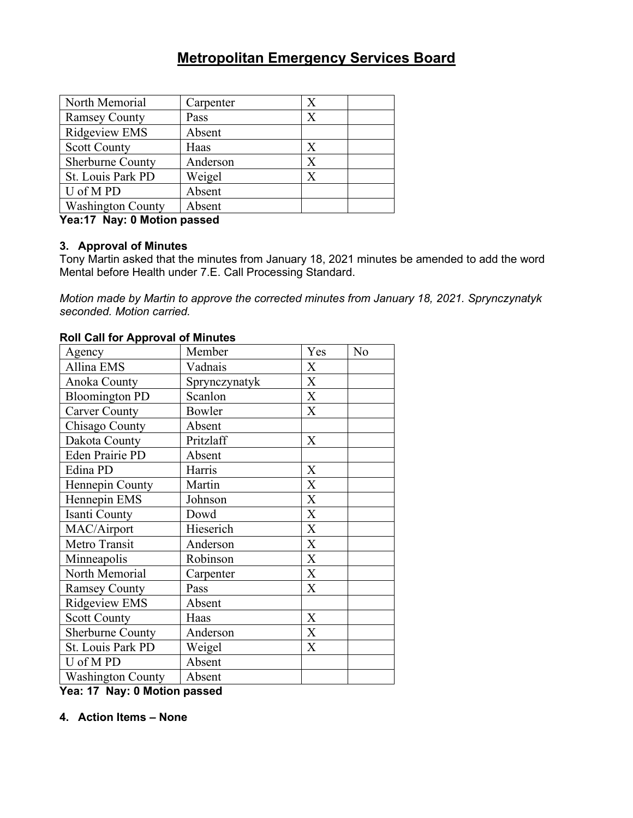| North Memorial           | Carpenter | Х       |
|--------------------------|-----------|---------|
| <b>Ramsey County</b>     | Pass      | $\rm X$ |
| Ridgeview EMS            | Absent    |         |
| <b>Scott County</b>      | Haas      | Х       |
| Sherburne County         | Anderson  | X       |
| St. Louis Park PD        | Weigel    | X       |
| U of MPD                 | Absent    |         |
| <b>Washington County</b> | Absent    |         |

#### **Yea:17 Nay: 0 Motion passed**

#### **3. Approval of Minutes**

Tony Martin asked that the minutes from January 18, 2021 minutes be amended to add the word Mental before Health under 7.E. Call Processing Standard.

*Motion made by Martin to approve the corrected minutes from January 18, 2021. Sprynczynatyk seconded. Motion carried.* 

### Agency Member | Yes | No Allina EMS Vadnais X Anoka County Sprynczynatyk X Bloomington PD Scanlon X Carver County Bowler X Chisago County Absent Dakota County Pritzlaff X Eden Prairie PD | Absent Edina PD Harris X Hennepin County Martin X Hennepin EMS  $|$  Johnson  $|$  X Isanti County<br>
MAC/Airport Bieserich<br>
X MAC/Airport Hieserich Metro Transit Anderson X Minneapolis | Robinson | X North Memorial | Carpenter | X Ramsey County Pass X Ridgeview EMS | Absent Scott County Haas X Sherburne County Anderson X St. Louis Park PD | Weigel X  $U$  of M PD  $|$  Absent Washington County | Absent

#### **Roll Call for Approval of Minutes**

**Yea: 17 Nay: 0 Motion passed**

**4. Action Items – None**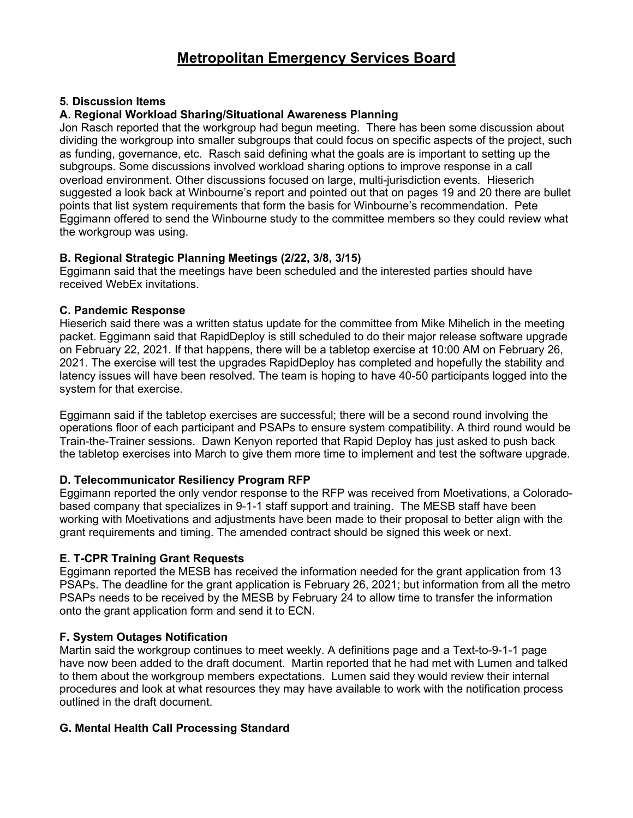#### **5. Discussion Items**

#### **A. Regional Workload Sharing/Situational Awareness Planning**

Jon Rasch reported that the workgroup had begun meeting. There has been some discussion about dividing the workgroup into smaller subgroups that could focus on specific aspects of the project, such as funding, governance, etc. Rasch said defining what the goals are is important to setting up the subgroups. Some discussions involved workload sharing options to improve response in a call overload environment. Other discussions focused on large, multi-jurisdiction events. Hieserich suggested a look back at Winbourne's report and pointed out that on pages 19 and 20 there are bullet points that list system requirements that form the basis for Winbourne's recommendation. Pete Eggimann offered to send the Winbourne study to the committee members so they could review what the workgroup was using.

#### **B. Regional Strategic Planning Meetings (2/22, 3/8, 3/15)**

Eggimann said that the meetings have been scheduled and the interested parties should have received WebEx invitations.

#### **C. Pandemic Response**

Hieserich said there was a written status update for the committee from Mike Mihelich in the meeting packet. Eggimann said that RapidDeploy is still scheduled to do their major release software upgrade on February 22, 2021. If that happens, there will be a tabletop exercise at 10:00 AM on February 26, 2021. The exercise will test the upgrades RapidDeploy has completed and hopefully the stability and latency issues will have been resolved. The team is hoping to have 40-50 participants logged into the system for that exercise.

Eggimann said if the tabletop exercises are successful; there will be a second round involving the operations floor of each participant and PSAPs to ensure system compatibility. A third round would be Train-the-Trainer sessions. Dawn Kenyon reported that Rapid Deploy has just asked to push back the tabletop exercises into March to give them more time to implement and test the software upgrade.

### **D. Telecommunicator Resiliency Program RFP**

Eggimann reported the only vendor response to the RFP was received from Moetivations, a Coloradobased company that specializes in 9-1-1 staff support and training. The MESB staff have been working with Moetivations and adjustments have been made to their proposal to better align with the grant requirements and timing. The amended contract should be signed this week or next.

### **E. T-CPR Training Grant Requests**

Eggimann reported the MESB has received the information needed for the grant application from 13 PSAPs. The deadline for the grant application is February 26, 2021; but information from all the metro PSAPs needs to be received by the MESB by February 24 to allow time to transfer the information onto the grant application form and send it to ECN.

### **F. System Outages Notification**

Martin said the workgroup continues to meet weekly. A definitions page and a Text-to-9-1-1 page have now been added to the draft document. Martin reported that he had met with Lumen and talked to them about the workgroup members expectations. Lumen said they would review their internal procedures and look at what resources they may have available to work with the notification process outlined in the draft document.

### **G. Mental Health Call Processing Standard**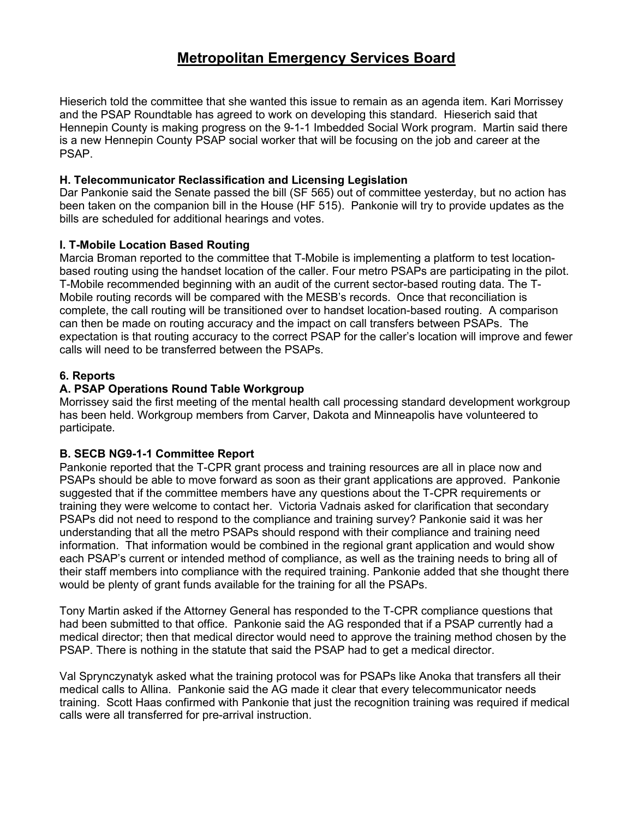Hieserich told the committee that she wanted this issue to remain as an agenda item. Kari Morrissey and the PSAP Roundtable has agreed to work on developing this standard. Hieserich said that Hennepin County is making progress on the 9-1-1 Imbedded Social Work program. Martin said there is a new Hennepin County PSAP social worker that will be focusing on the job and career at the PSAP.

#### **H. Telecommunicator Reclassification and Licensing Legislation**

Dar Pankonie said the Senate passed the bill (SF 565) out of committee yesterday, but no action has been taken on the companion bill in the House (HF 515). Pankonie will try to provide updates as the bills are scheduled for additional hearings and votes.

#### **I. T-Mobile Location Based Routing**

Marcia Broman reported to the committee that T-Mobile is implementing a platform to test locationbased routing using the handset location of the caller. Four metro PSAPs are participating in the pilot. T-Mobile recommended beginning with an audit of the current sector-based routing data. The T-Mobile routing records will be compared with the MESB's records. Once that reconciliation is complete, the call routing will be transitioned over to handset location-based routing. A comparison can then be made on routing accuracy and the impact on call transfers between PSAPs. The expectation is that routing accuracy to the correct PSAP for the caller's location will improve and fewer calls will need to be transferred between the PSAPs.

#### **6. Reports**

#### **A. PSAP Operations Round Table Workgroup**

Morrissey said the first meeting of the mental health call processing standard development workgroup has been held. Workgroup members from Carver, Dakota and Minneapolis have volunteered to participate.

#### **B. SECB NG9-1-1 Committee Report**

Pankonie reported that the T-CPR grant process and training resources are all in place now and PSAPs should be able to move forward as soon as their grant applications are approved. Pankonie suggested that if the committee members have any questions about the T-CPR requirements or training they were welcome to contact her. Victoria Vadnais asked for clarification that secondary PSAPs did not need to respond to the compliance and training survey? Pankonie said it was her understanding that all the metro PSAPs should respond with their compliance and training need information. That information would be combined in the regional grant application and would show each PSAP's current or intended method of compliance, as well as the training needs to bring all of their staff members into compliance with the required training. Pankonie added that she thought there would be plenty of grant funds available for the training for all the PSAPs.

Tony Martin asked if the Attorney General has responded to the T-CPR compliance questions that had been submitted to that office. Pankonie said the AG responded that if a PSAP currently had a medical director; then that medical director would need to approve the training method chosen by the PSAP. There is nothing in the statute that said the PSAP had to get a medical director.

Val Sprynczynatyk asked what the training protocol was for PSAPs like Anoka that transfers all their medical calls to Allina. Pankonie said the AG made it clear that every telecommunicator needs training. Scott Haas confirmed with Pankonie that just the recognition training was required if medical calls were all transferred for pre-arrival instruction.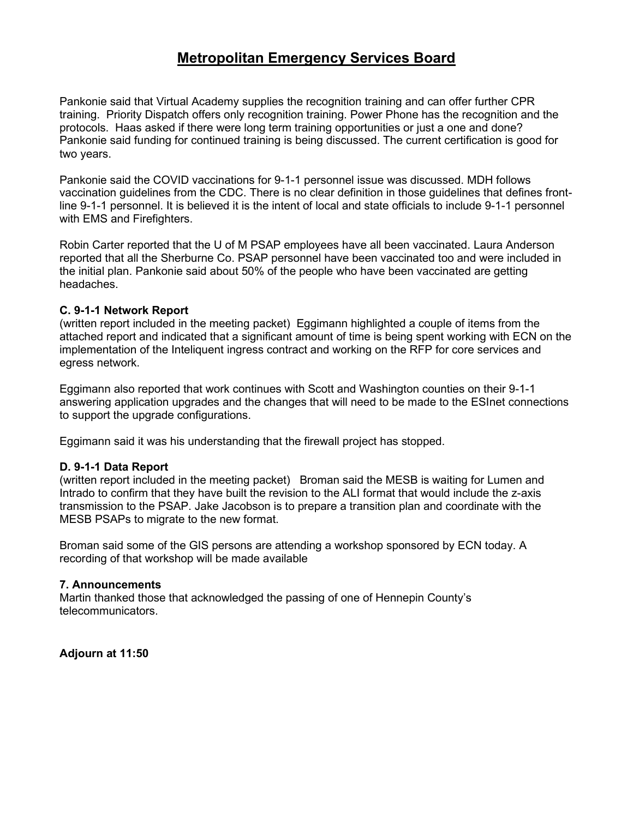Pankonie said that Virtual Academy supplies the recognition training and can offer further CPR training. Priority Dispatch offers only recognition training. Power Phone has the recognition and the protocols. Haas asked if there were long term training opportunities or just a one and done? Pankonie said funding for continued training is being discussed. The current certification is good for two years.

Pankonie said the COVID vaccinations for 9-1-1 personnel issue was discussed. MDH follows vaccination guidelines from the CDC. There is no clear definition in those guidelines that defines frontline 9-1-1 personnel. It is believed it is the intent of local and state officials to include 9-1-1 personnel with EMS and Firefighters.

Robin Carter reported that the U of M PSAP employees have all been vaccinated. Laura Anderson reported that all the Sherburne Co. PSAP personnel have been vaccinated too and were included in the initial plan. Pankonie said about 50% of the people who have been vaccinated are getting headaches.

#### **C. 9-1-1 Network Report**

(written report included in the meeting packet) Eggimann highlighted a couple of items from the attached report and indicated that a significant amount of time is being spent working with ECN on the implementation of the Inteliquent ingress contract and working on the RFP for core services and egress network.

Eggimann also reported that work continues with Scott and Washington counties on their 9-1-1 answering application upgrades and the changes that will need to be made to the ESInet connections to support the upgrade configurations.

Eggimann said it was his understanding that the firewall project has stopped.

#### **D. 9-1-1 Data Report**

(written report included in the meeting packet) Broman said the MESB is waiting for Lumen and Intrado to confirm that they have built the revision to the ALI format that would include the z-axis transmission to the PSAP. Jake Jacobson is to prepare a transition plan and coordinate with the MESB PSAPs to migrate to the new format.

Broman said some of the GIS persons are attending a workshop sponsored by ECN today. A recording of that workshop will be made available

#### **7. Announcements**

Martin thanked those that acknowledged the passing of one of Hennepin County's telecommunicators.

**Adjourn at 11:50**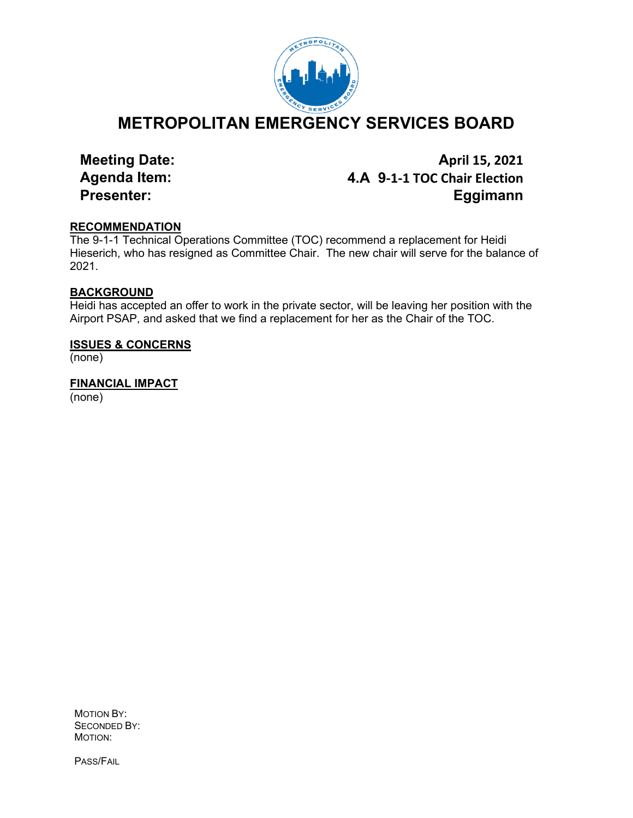

**METROPOLITAN EMERGENCY SERVICES BOARD**

**Meeting Date: April 15, 2021 Agenda Item: 4.A 9-1-1 TOC Chair Election Presenter: Eggimann**

#### **RECOMMENDATION**

The 9-1-1 Technical Operations Committee (TOC) recommend a replacement for Heidi Hieserich, who has resigned as Committee Chair. The new chair will serve for the balance of 2021.

#### **BACKGROUND**

Heidi has accepted an offer to work in the private sector, will be leaving her position with the Airport PSAP, and asked that we find a replacement for her as the Chair of the TOC.

#### **ISSUES & CONCERNS**

(none)

**FINANCIAL IMPACT** (none)

MOTION BY: SECONDED BY: MOTION:

PASS/FAIL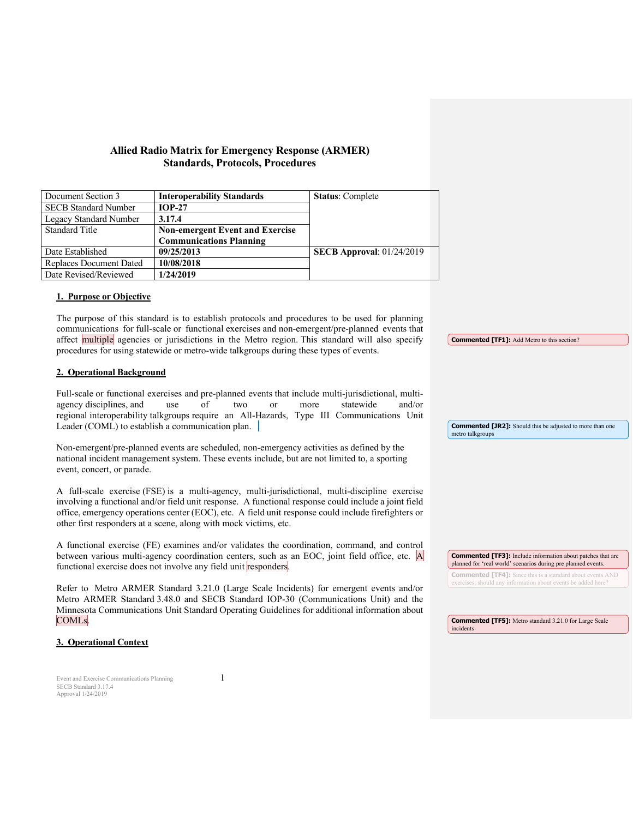#### **Allied Radio Matrix for Emergency Response (ARMER) Standards, Protocols, Procedures**

| Document Section 3          | <b>Interoperability Standards</b>      | <b>Status:</b> Complete          |
|-----------------------------|----------------------------------------|----------------------------------|
| <b>SECB Standard Number</b> | $IOP-27$                               |                                  |
| Legacy Standard Number      | 3.17.4                                 |                                  |
| <b>Standard Title</b>       | <b>Non-emergent Event and Exercise</b> |                                  |
|                             | <b>Communications Planning</b>         |                                  |
| Date Established            | 09/25/2013                             | <b>SECB Approval: 01/24/2019</b> |
| Replaces Document Dated     | 10/08/2018                             |                                  |
| Date Revised/Reviewed       | 1/24/2019                              |                                  |

#### **1. Purpose or Objective**

The purpose of this standard is to establish protocols and procedures to be used for planning communications for full-scale or functional exercises and non-emergent/pre-planned events that affect multiple agencies or jurisdictions in the Metro region. This standard will also specify procedures for using statewide or metro-wide talkgroups during these types of events.

#### **2. Operational Background**

Full-scale or functional exercises and pre-planned events that include multi-jurisdictional, multi-<br>agency disciplines, and use of two or more statewide and/or agency disciplines, and use of two or more statewide and/or regional interoperability talkgroups require an All-Hazards, Type III Communications Unit Leader (COML) to establish a communication plan.

Non-emergent/pre-planned events are scheduled, non-emergency activities as defined by the national incident management system. These events include, but are not limited to, a sporting event, concert, or parade.

A full-scale exercise (FSE) is a multi-agency, multi-jurisdictional, multi-discipline exercise involving a functional and/or field unit response. A functional response could include a joint field office, emergency operations center (EOC), etc. A field unit response could include firefighters or other first responders at a scene, along with mock victims, etc.

A functional exercise (FE) examines and/or validates the coordination, command, and control between various multi-agency coordination centers, such as an EOC, joint field office, etc. A functional exercise does not involve any field unit responders.

Refer to Metro ARMER Standard 3.21.0 (Large Scale Incidents) for emergent events and/or Metro ARMER Standard 3.48.0 and SECB Standard IOP-30 (Communications Unit) and the Minnesota Communications Unit Standard Operating Guidelines for additional information about COMLs.

**3. Operational Context**

Event and Exercise Communications Planning 1 SECB Standard 3.17.4 Approval 1/24/2019

**Commented [JR2]:** Should this be adjusted to more than one metro talkgroups

**Commented [TF1]:** Add Metro to this section?

**Commented [TF5]:** Metro standard 3.21.0 for Large Scale

incidents

**Commented [TF3]:** Include information about patches that are planned for 'real world' scenarios during pre planned events. **Commented [TF4]:** Since this is a standard about events AND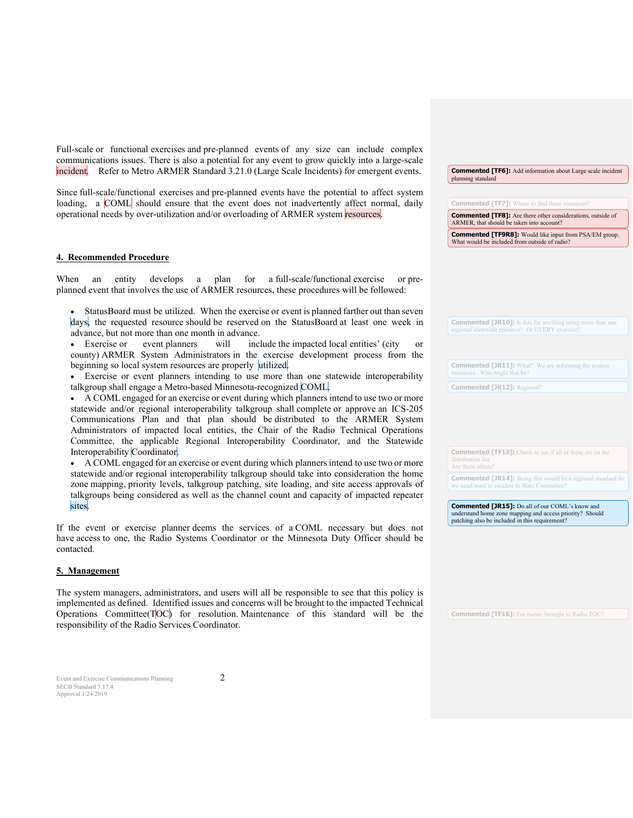Full-scale or functional exercises and pre-planned events of any size can include complex communications issues. There is also a potential for any event to grow quickly into a large-scale incident. Refer to Metro ARMER Standard 3.21.0 (Large Scale Incidents) for emergent events.

Since full-scale/functional exercises and pre-planned events have the potential to affect system loading, a COML should ensure that the event does not inadvertently affect normal, daily operational needs by over-utilization and/or overloading of ARMER system resources.

#### **4. Recommended Procedure**

When an entity develops a plan for a full-scale/functional exercise or preplanned event that involves the use of ARMER resources, these procedures will be followed:

• StatusBoard must be utilized. When the exercise or event is planned farther out than seven days, the requested resource should be reserved on the StatusBoard at least one week in advance, but not more than one month in advance.

• Exercise or event planners will include the impacted local entities' (city or county) ARMER System Administrators in the exercise development process from the beginning so local system resources are properly utilized.

• Exercise or event planners intending to use more than one statewide interoperability talkgroup shall engage a Metro-based Minnesota-recognized COML.

• A COML engaged for an exercise or event during which planners intend to use two or more statewide and/or regional interoperability talkgroup shall complete or approve an ICS-205 Communications Plan and that plan should be distributed to the ARMER System Administrators of impacted local entities, the Chair of the Radio Technical Operations Committee, the applicable Regional Interoperability Coordinator, and the Statewide Interoperability Coordinator.

• A COML engaged for an exercise or event during which planners intend to use two or more statewide and/or regional interoperability talkgroup should take into consideration the home zone mapping, priority levels, talkgroup patching, site loading, and site access approvals of talkgroups being considered as well as the channel count and capacity of impacted repeater sites.

If the event or exercise planner deems the services of a COML necessary but does not have access to one, the Radio Systems Coordinator or the Minnesota Duty Officer should be contacted.

#### **5. Management**

The system managers, administrators, and users will all be responsible to see that this policy is implemented as defined. Identified issues and concerns will be brought to the impacted Technical Operations Committee(TOC) for resolution. Maintenance of this standard will be the responsibility of the Radio Services Coordinator.

**Commented [TF6]:** Add information about Large scale incident planning standard

**Commented [TF8]:** Are there other considerations, outside of ARMER, that should be taken into account?

**Commented [TF7]:** Where to find these resources?

**Commented [TF9R8]:** Would like input from PSA/EM group. What would be included from outside of radio?

**Commented [JR10]:** Is this for anything using more than regional\statewide resource? Or EVERY exercise?

**Commented [JR11]:** What? We are informing the system resources. Who might that be?

**Commented [JR12]:** Regional?

**Commented [TF13]:** Check to see if all of these are on the

Are there others

**Commented [JR14]:** Being this would be a regional standard do

**Commented [JR15]:** Do all of our COML's know and understand home zone mapping and access priority? Should patching also be included in this requirement?

**Commented [TF16]:** For metro, brought to Radio TOC?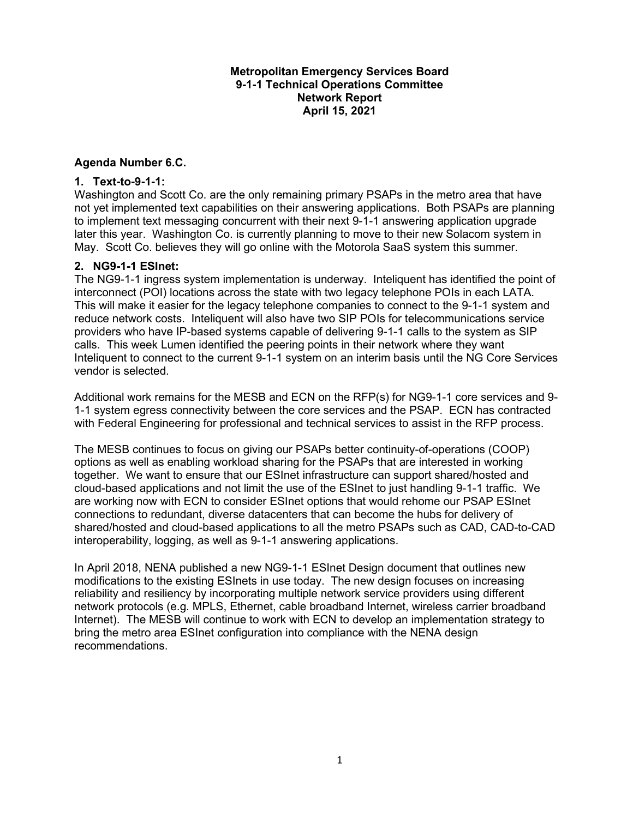#### **Metropolitan Emergency Services Board 9-1-1 Technical Operations Committee Network Report April 15, 2021**

#### **Agenda Number 6.C.**

#### **1. Text-to-9-1-1:**

Washington and Scott Co. are the only remaining primary PSAPs in the metro area that have not yet implemented text capabilities on their answering applications. Both PSAPs are planning to implement text messaging concurrent with their next 9-1-1 answering application upgrade later this year. Washington Co. is currently planning to move to their new Solacom system in May. Scott Co. believes they will go online with the Motorola SaaS system this summer.

#### **2. NG9-1-1 ESInet:**

The NG9-1-1 ingress system implementation is underway. Inteliquent has identified the point of interconnect (POI) locations across the state with two legacy telephone POIs in each LATA. This will make it easier for the legacy telephone companies to connect to the 9-1-1 system and reduce network costs. Inteliquent will also have two SIP POIs for telecommunications service providers who have IP-based systems capable of delivering 9-1-1 calls to the system as SIP calls. This week Lumen identified the peering points in their network where they want Inteliquent to connect to the current 9-1-1 system on an interim basis until the NG Core Services vendor is selected.

Additional work remains for the MESB and ECN on the RFP(s) for NG9-1-1 core services and 9- 1-1 system egress connectivity between the core services and the PSAP. ECN has contracted with Federal Engineering for professional and technical services to assist in the RFP process.

The MESB continues to focus on giving our PSAPs better continuity-of-operations (COOP) options as well as enabling workload sharing for the PSAPs that are interested in working together. We want to ensure that our ESInet infrastructure can support shared/hosted and cloud-based applications and not limit the use of the ESInet to just handling 9-1-1 traffic. We are working now with ECN to consider ESInet options that would rehome our PSAP ESInet connections to redundant, diverse datacenters that can become the hubs for delivery of shared/hosted and cloud-based applications to all the metro PSAPs such as CAD, CAD-to-CAD interoperability, logging, as well as 9-1-1 answering applications.

In April 2018, NENA published a new NG9-1-1 ESInet Design document that outlines new modifications to the existing ESInets in use today. The new design focuses on increasing reliability and resiliency by incorporating multiple network service providers using different network protocols (e.g. MPLS, Ethernet, cable broadband Internet, wireless carrier broadband Internet). The MESB will continue to work with ECN to develop an implementation strategy to bring the metro area ESInet configuration into compliance with the NENA design recommendations.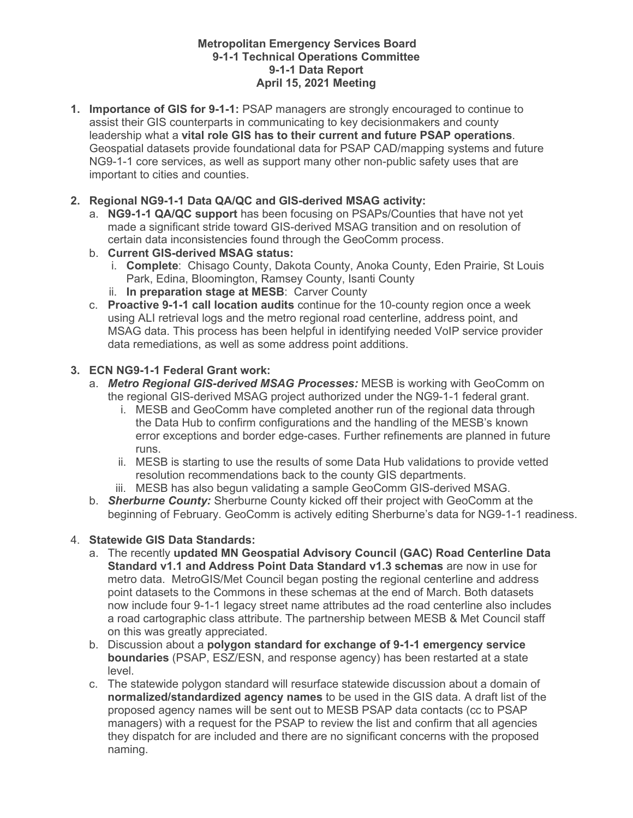#### **Metropolitan Emergency Services Board 9-1-1 Technical Operations Committee 9-1-1 Data Report April 15, 2021 Meeting**

**1. Importance of GIS for 9-1-1:** PSAP managers are strongly encouraged to continue to assist their GIS counterparts in communicating to key decisionmakers and county leadership what a **vital role GIS has to their current and future PSAP operations**. Geospatial datasets provide foundational data for PSAP CAD/mapping systems and future NG9-1-1 core services, as well as support many other non-public safety uses that are important to cities and counties.

#### **2. Regional NG9-1-1 Data QA/QC and GIS-derived MSAG activity:**

- a. **NG9-1-1 QA/QC support** has been focusing on PSAPs/Counties that have not yet made a significant stride toward GIS-derived MSAG transition and on resolution of certain data inconsistencies found through the GeoComm process.
- b. **Current GIS-derived MSAG status:** 
	- i. **Complete**: Chisago County, Dakota County, Anoka County, Eden Prairie, St Louis Park, Edina, Bloomington, Ramsey County, Isanti County
	- ii. **In preparation stage at MESB**: Carver County
- c. **Proactive 9-1-1 call location audits** continue for the 10-county region once a week using ALI retrieval logs and the metro regional road centerline, address point, and MSAG data. This process has been helpful in identifying needed VoIP service provider data remediations, as well as some address point additions.

#### **3. ECN NG9-1-1 Federal Grant work:**

- a. *Metro Regional GIS-derived MSAG Processes:* MESB is working with GeoComm on the regional GIS-derived MSAG project authorized under the NG9-1-1 federal grant.
	- i. MESB and GeoComm have completed another run of the regional data through the Data Hub to confirm configurations and the handling of the MESB's known error exceptions and border edge-cases. Further refinements are planned in future runs.
	- ii. MESB is starting to use the results of some Data Hub validations to provide vetted resolution recommendations back to the county GIS departments.
	- iii. MESB has also begun validating a sample GeoComm GIS-derived MSAG.
- b. *Sherburne County:* Sherburne County kicked off their project with GeoComm at the beginning of February. GeoComm is actively editing Sherburne's data for NG9-1-1 readiness.

### 4. **Statewide GIS Data Standards:**

- a. The recently **updated MN Geospatial Advisory Council (GAC) Road Centerline Data Standard v1.1 and Address Point Data Standard v1.3 schemas** are now in use for metro data. MetroGIS/Met Council began posting the regional centerline and address point datasets to the Commons in these schemas at the end of March. Both datasets now include four 9-1-1 legacy street name attributes ad the road centerline also includes a road cartographic class attribute. The partnership between MESB & Met Council staff on this was greatly appreciated.
- b. Discussion about a **polygon standard for exchange of 9-1-1 emergency service boundaries** (PSAP, ESZ/ESN, and response agency) has been restarted at a state level.
- c. The statewide polygon standard will resurface statewide discussion about a domain of **normalized/standardized agency names** to be used in the GIS data. A draft list of the proposed agency names will be sent out to MESB PSAP data contacts (cc to PSAP managers) with a request for the PSAP to review the list and confirm that all agencies they dispatch for are included and there are no significant concerns with the proposed naming.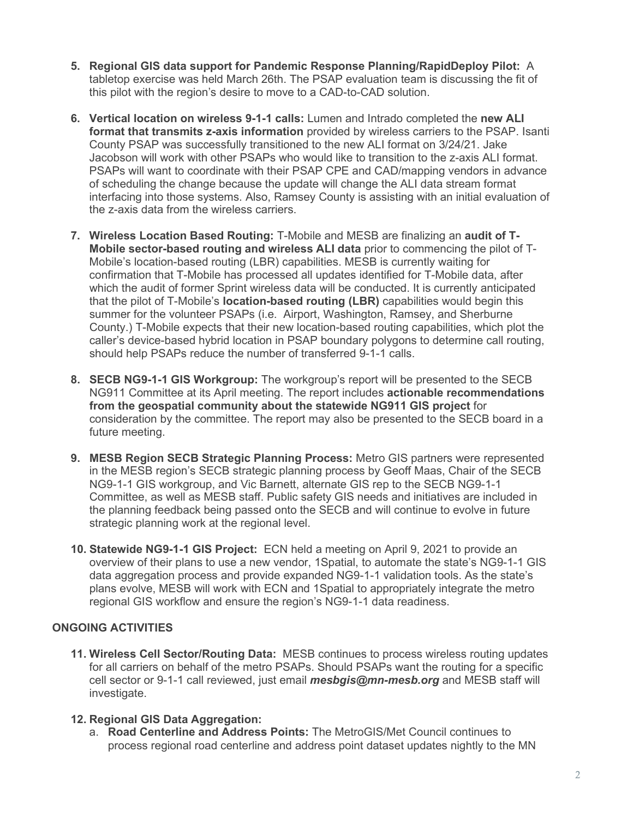- **5. Regional GIS data support for Pandemic Response Planning/RapidDeploy Pilot:** A tabletop exercise was held March 26th. The PSAP evaluation team is discussing the fit of this pilot with the region's desire to move to a CAD-to-CAD solution.
- **6. Vertical location on wireless 9-1-1 calls:** Lumen and Intrado completed the **new ALI format that transmits z-axis information** provided by wireless carriers to the PSAP. Isanti County PSAP was successfully transitioned to the new ALI format on 3/24/21. Jake Jacobson will work with other PSAPs who would like to transition to the z-axis ALI format. PSAPs will want to coordinate with their PSAP CPE and CAD/mapping vendors in advance of scheduling the change because the update will change the ALI data stream format interfacing into those systems. Also, Ramsey County is assisting with an initial evaluation of the z-axis data from the wireless carriers.
- **7. Wireless Location Based Routing:** T-Mobile and MESB are finalizing an **audit of T-Mobile sector-based routing and wireless ALI data** prior to commencing the pilot of T-Mobile's location-based routing (LBR) capabilities. MESB is currently waiting for confirmation that T-Mobile has processed all updates identified for T-Mobile data, after which the audit of former Sprint wireless data will be conducted. It is currently anticipated that the pilot of T-Mobile's **location-based routing (LBR)** capabilities would begin this summer for the volunteer PSAPs (i.e. Airport, Washington, Ramsey, and Sherburne County.) T-Mobile expects that their new location-based routing capabilities, which plot the caller's device-based hybrid location in PSAP boundary polygons to determine call routing, should help PSAPs reduce the number of transferred 9-1-1 calls.
- **8. SECB NG9-1-1 GIS Workgroup:** The workgroup's report will be presented to the SECB NG911 Committee at its April meeting. The report includes **actionable recommendations from the geospatial community about the statewide NG911 GIS project** for consideration by the committee. The report may also be presented to the SECB board in a future meeting.
- **9. MESB Region SECB Strategic Planning Process:** Metro GIS partners were represented in the MESB region's SECB strategic planning process by Geoff Maas, Chair of the SECB NG9-1-1 GIS workgroup, and Vic Barnett, alternate GIS rep to the SECB NG9-1-1 Committee, as well as MESB staff. Public safety GIS needs and initiatives are included in the planning feedback being passed onto the SECB and will continue to evolve in future strategic planning work at the regional level.
- **10. Statewide NG9-1-1 GIS Project:** ECN held a meeting on April 9, 2021 to provide an overview of their plans to use a new vendor, 1Spatial, to automate the state's NG9-1-1 GIS data aggregation process and provide expanded NG9-1-1 validation tools. As the state's plans evolve, MESB will work with ECN and 1Spatial to appropriately integrate the metro regional GIS workflow and ensure the region's NG9-1-1 data readiness.

#### **ONGOING ACTIVITIES**

**11. Wireless Cell Sector/Routing Data:** MESB continues to process wireless routing updates for all carriers on behalf of the metro PSAPs. Should PSAPs want the routing for a specific cell sector or 9-1-1 call reviewed, just email *mesbgis@mn-mesb.org* and MESB staff will investigate.

#### **12. Regional GIS Data Aggregation:**

a. **Road Centerline and Address Points:** The MetroGIS/Met Council continues to process regional road centerline and address point dataset updates nightly to the MN